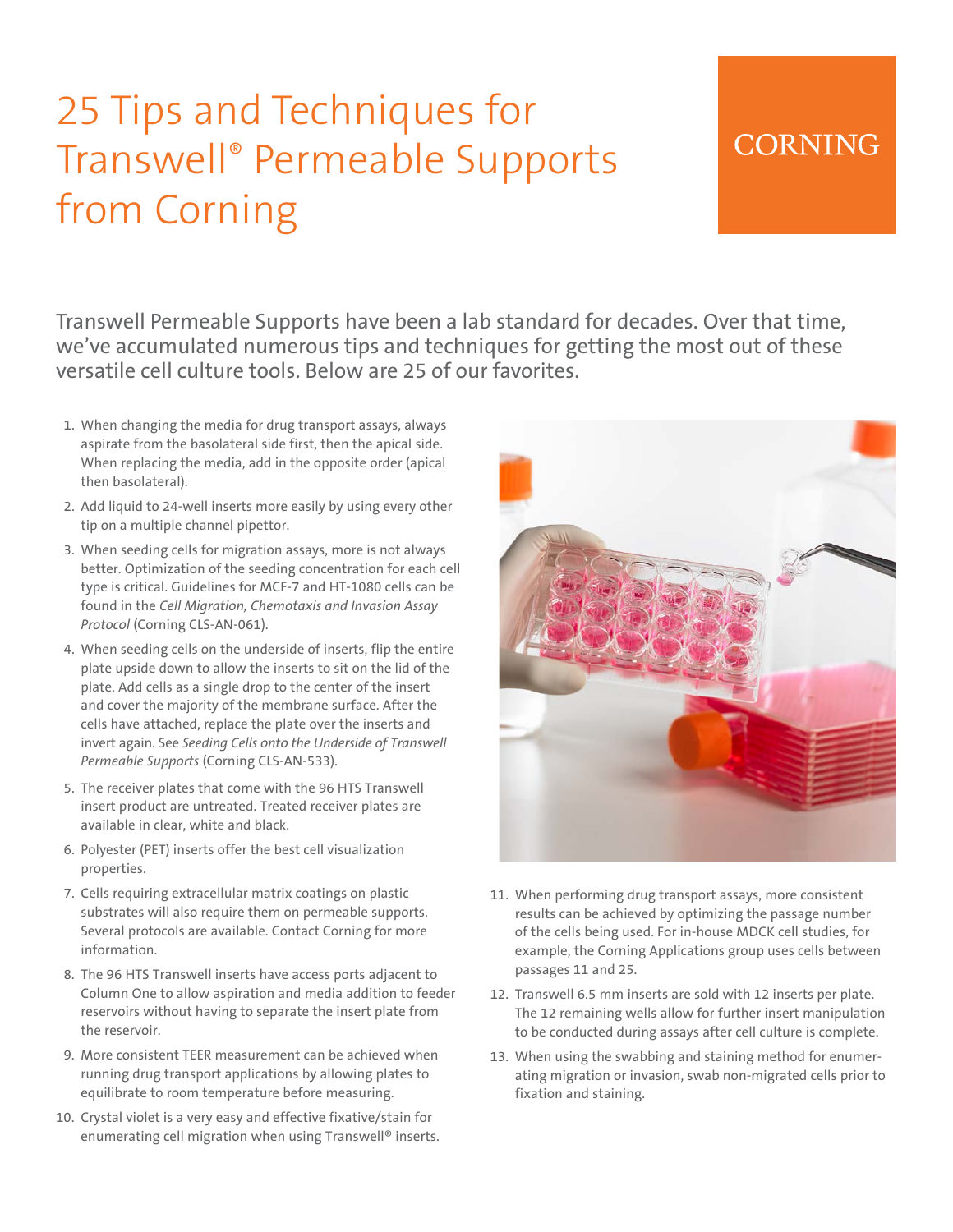# 25 Tips and Techniques for Transwell® Permeable Supports from Corning

### **CORNING**

Transwell Permeable Supports have been a lab standard for decades. Over that time, we've accumulated numerous tips and techniques for getting the most out of these versatile cell culture tools. Below are 25 of our favorites.

- 1. When changing the media for drug transport assays, always aspirate from the basolateral side first, then the apical side. When replacing the media, add in the opposite order (apical then basolateral).
- 2. Add liquid to 24-well inserts more easily by using every other tip on a multiple channel pipettor.
- 3. When seeding cells for migration assays, more is not always better. Optimization of the seeding concentration for each cell type is critical. Guidelines for MCF-7 and HT-1080 cells can be found in the *Cell Migration, Chemotaxis and Invasion Assay Protocol* (Corning CLS-AN-061).
- 4. When seeding cells on the underside of inserts, flip the entire plate upside down to allow the inserts to sit on the lid of the plate. Add cells as a single drop to the center of the insert and cover the majority of the membrane surface. After the cells have attached, replace the plate over the inserts and invert again. See *Seeding Cells onto the Underside of Transwell Permeable Supports* (Corning CLS-AN-533).
- 5. The receiver plates that come with the 96 HTS Transwell insert product are untreated. Treated receiver plates are available in clear, white and black.
- 6. Polyester (PET) inserts offer the best cell visualization properties.
- 7. Cells requiring extracellular matrix coatings on plastic substrates will also require them on permeable supports. Several protocols are available. Contact Corning for more information.
- 8. The 96 HTS Transwell inserts have access ports adjacent to Column One to allow aspiration and media addition to feeder reservoirs without having to separate the insert plate from the reservoir.
- 9. More consistent TEER measurement can be achieved when running drug transport applications by allowing plates to equilibrate to room temperature before measuring.
- 10. Crystal violet is a very easy and effective fixative/stain for enumerating cell migration when using Transwell® inserts.



- 11. When performing drug transport assays, more consistent results can be achieved by optimizing the passage number of the cells being used. For in-house MDCK cell studies, for example, the Corning Applications group uses cells between passages 11 and 25.
- 12. Transwell 6.5 mm inserts are sold with 12 inserts per plate. The 12 remaining wells allow for further insert manipulation to be conducted during assays after cell culture is complete.
- 13. When using the swabbing and staining method for enumerating migration or invasion, swab non-migrated cells prior to fixation and staining.